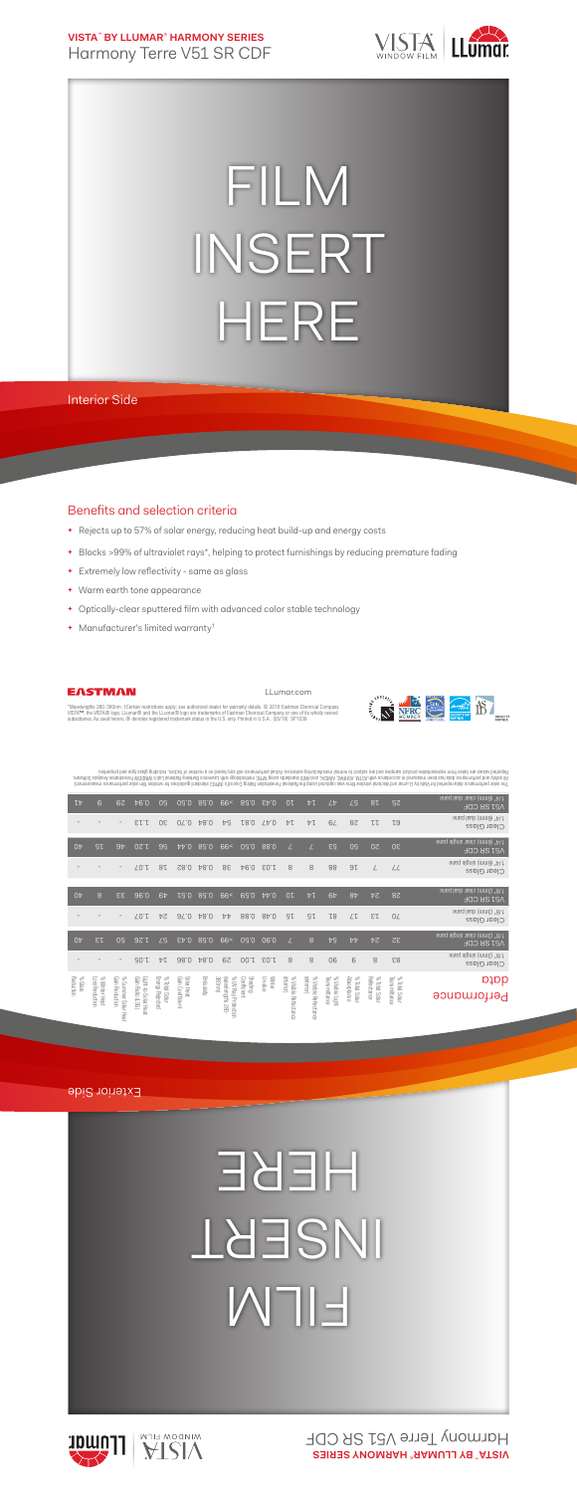**VISTA**™  **BY LLUMAR**®  **HARMONY SERIES** Harmony Terre V51 SR CDF



## FILM INSERT HERE

Interior Side

## Benefits and selection criteria

- **+** Rejects up to 57% of solar energy, reducing heat build-up and energy costs
- **+** Blocks >99% of ultraviolet rays\*, helping to protect furnishings by reducing premature fading
- **+** Extremely low reflectivity same as glass
- **+** Warm earth tone appearance
- **+** Optically-clear sputtered film with advanced color stable technology
- **+** Manufacturer's limited warranty†



LLumar.com



"Wavelengths 280-380nm. †Certain restrictions apply; see authorized dealer for warranty details. © 2016 Eastman Chemical Company.<br>VISTA™, the VISTA® logo, LLumar® and the LLumar® logo are trademarks of Eastman Chemical Com